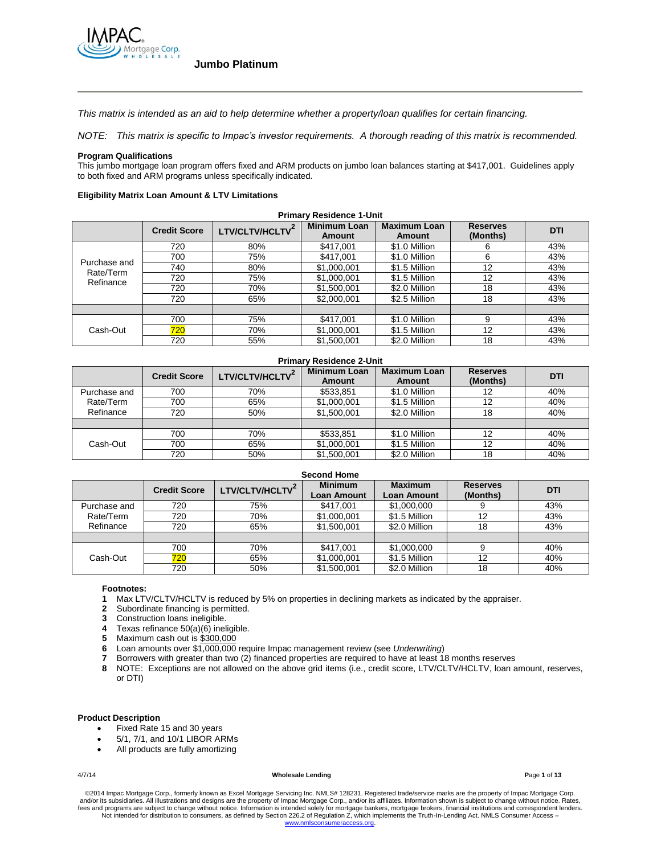

*This matrix is intended as an aid to help determine whether a property/loan qualifies for certain financing.*

*NOTE: This matrix is specific to Impac's investor requirements. A thorough reading of this matrix is recommended.*

### **Program Qualifications**

This jumbo mortgage loan program offers fixed and ARM products on jumbo loan balances starting at \$417,001. Guidelines apply to both fixed and ARM programs unless specifically indicated.

### **Eligibility Matrix Loan Amount & LTV Limitations**

| <b>Primary Residence 1-Unit</b> |                     |                             |                               |                               |                             |            |
|---------------------------------|---------------------|-----------------------------|-------------------------------|-------------------------------|-----------------------------|------------|
|                                 | <b>Credit Score</b> | LTV/CLTV/HCLTV <sup>2</sup> | <b>Minimum Loan</b><br>Amount | <b>Maximum Loan</b><br>Amount | <b>Reserves</b><br>(Months) | <b>DTI</b> |
|                                 | 720                 | 80%                         | \$417.001                     | \$1.0 Million                 | 6                           | 43%        |
|                                 | 700                 | 75%                         | \$417,001                     | \$1.0 Million                 | 6                           | 43%        |
| Purchase and                    | 740                 | 80%                         | \$1,000,001                   | \$1.5 Million                 | 12                          | 43%        |
| Rate/Term<br>Refinance          | 720                 | 75%                         | \$1,000,001                   | \$1.5 Million                 | 12                          | 43%        |
|                                 | 720                 | 70%                         | \$1,500,001                   | \$2.0 Million                 | 18                          | 43%        |
|                                 | 720                 | 65%                         | \$2,000,001                   | \$2.5 Million                 | 18                          | 43%        |
|                                 |                     |                             |                               |                               |                             |            |
| Cash-Out                        | 700                 | 75%                         | \$417,001                     | \$1.0 Million                 | 9                           | 43%        |
|                                 | 720                 | 70%                         | \$1,000,001                   | \$1.5 Million                 | 12                          | 43%        |
|                                 | 720                 | 55%                         | \$1,500,001                   | \$2.0 Million                 | 18                          | 43%        |

### **Primary Residence 2-Unit**

|              | <b>Credit Score</b> | LTV/CLTV/HCLTV <sup>-</sup> | <b>Minimum Loan</b><br><b>Amount</b> | <b>Maximum Loan</b><br><b>Amount</b> | <b>Reserves</b><br>(Months) | <b>DTI</b> |
|--------------|---------------------|-----------------------------|--------------------------------------|--------------------------------------|-----------------------------|------------|
| Purchase and | 700                 | 70%                         | \$533.851                            | \$1.0 Million                        | 12                          | 40%        |
| Rate/Term    | 700                 | 65%                         | \$1,000,001                          | \$1.5 Million                        | 12                          | 40%        |
| Refinance    | 720                 | 50%                         | \$1,500,001                          | \$2.0 Million                        | 18                          | 40%        |
|              |                     |                             |                                      |                                      |                             |            |
|              | 700                 | 70%                         | \$533.851                            | \$1.0 Million                        | 12                          | 40%        |
| Cash-Out     | 700                 | 65%                         | \$1,000,001                          | \$1.5 Million                        | 12                          | 40%        |
|              | 720                 | 50%                         | \$1,500,001                          | \$2.0 Million                        | 18                          | 40%        |

| <b>Second Home</b> |                     |                |                                      |                                      |                             |     |
|--------------------|---------------------|----------------|--------------------------------------|--------------------------------------|-----------------------------|-----|
|                    | <b>Credit Score</b> | LTV/CLTV/HCLTV | <b>Minimum</b><br><b>Loan Amount</b> | <b>Maximum</b><br><b>Loan Amount</b> | <b>Reserves</b><br>(Months) | DTI |
| Purchase and       | 720                 | 75%            | \$417,001                            | \$1,000,000                          |                             | 43% |
| Rate/Term          | 720                 | 70%            | \$1,000,001                          | \$1.5 Million                        | 12                          | 43% |
| Refinance          | 720                 | 65%            | \$1,500,001                          | \$2.0 Million                        | 18                          | 43% |
|                    |                     |                |                                      |                                      |                             |     |
| Cash-Out           | 700                 | 70%            | \$417.001                            | \$1,000,000                          |                             | 40% |
|                    | 720                 | 65%            | \$1,000,001                          | \$1.5 Million                        | 12                          | 40% |
|                    | 720                 | 50%            | \$1,500,001                          | \$2.0 Million                        | 18                          | 40% |

### **Footnotes:**

- **1** Max LTV/CLTV/HCLTV is reduced by 5% on properties in declining markets as indicated by the appraiser.
- **2** Subordinate financing is permitted.
- **3** Construction loans ineligible.
- **4** Texas refinance 50(a)(6) ineligible.<br>**5** Maximum cash out is \$300,000
- **5** Maximum cash out is \$300,000
- **6** Loan amounts over \$1,000,000 require Impac management review (see *Underwriting*)
- **7** Borrowers with greater than two (2) financed properties are required to have at least 18 months reserves
- **8** NOTE: Exceptions are not allowed on the above grid items (i.e., credit score, LTV/CLTV/HCLTV, loan amount, reserves, or DTI)

### **Product Description**

- Fixed Rate 15 and 30 years
- 5/1, 7/1, and 10/1 LIBOR ARMs
- All products are fully amortizing

### 4/7/14 **Wholesale Lending P**age **1** of **13**

©2014 Impac Mortgage Corp., formerly known as Excel Mortgage Servicing Inc. NMLS# 128231. Registered trade/service marks are the property of Impac Mortgage Corp.<br>and/or its subsidiaries. All illustrations and designs are t fees and programs are subject to change without notice. Information is intended solely for mortgage bankers, mortgage brokers, financial institutions and correspondent lenders. Not intended for distribution to consumers, as defined by Section 226.2 of Regulation Z, which implements the Truth-In-Lending Act. NMLS Consumer Access – www.nm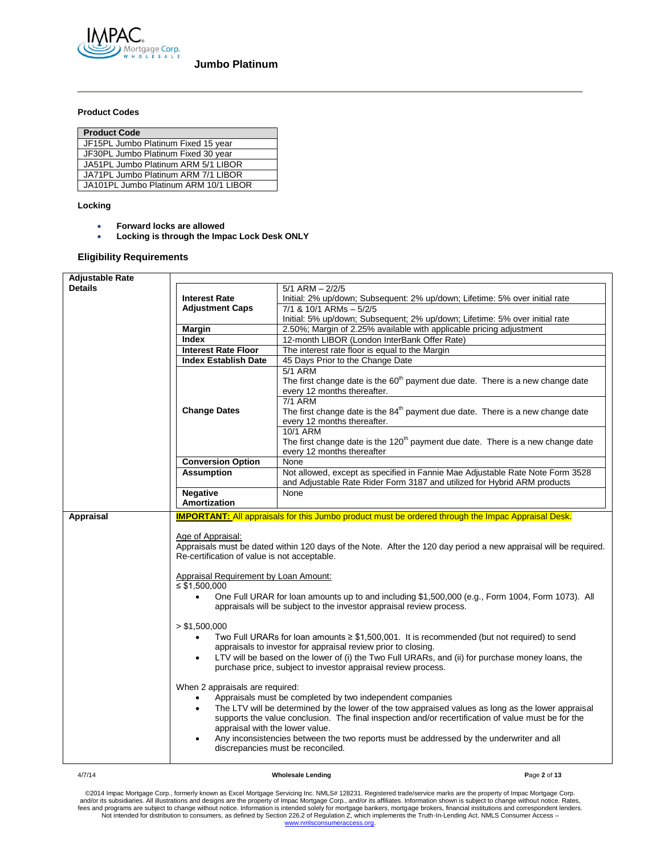

# **Product Codes**

| <b>Product Code</b>                   |
|---------------------------------------|
| JF15PL Jumbo Platinum Fixed 15 year   |
| JF30PL Jumbo Platinum Fixed 30 year   |
| JA51PL Jumbo Platinum ARM 5/1 LIBOR   |
| JA71PL Jumbo Platinum ARM 7/1 LIBOR   |
| JA101PL Jumbo Platinum ARM 10/1 LIBOR |

### **Locking**

- **Forward locks are allowed**
- **Locking is through the Impac Lock Desk ONLY**

# **Eligibility Requirements**

| <b>Adjustable Rate</b> |                                                                                      |                                                                                                                                                                                                                                                                                                                                                                                                         |
|------------------------|--------------------------------------------------------------------------------------|---------------------------------------------------------------------------------------------------------------------------------------------------------------------------------------------------------------------------------------------------------------------------------------------------------------------------------------------------------------------------------------------------------|
| <b>Details</b>         |                                                                                      | $5/1$ ARM $- 2/2/5$                                                                                                                                                                                                                                                                                                                                                                                     |
|                        | <b>Interest Rate</b>                                                                 | Initial: 2% up/down; Subsequent: 2% up/down; Lifetime: 5% over initial rate                                                                                                                                                                                                                                                                                                                             |
|                        | <b>Adjustment Caps</b>                                                               | $7/1$ & $10/1$ ARMs $-5/2/5$                                                                                                                                                                                                                                                                                                                                                                            |
|                        |                                                                                      | Initial: 5% up/down; Subsequent; 2% up/down; Lifetime: 5% over initial rate                                                                                                                                                                                                                                                                                                                             |
|                        | <b>Margin</b>                                                                        | 2.50%; Margin of 2.25% available with applicable pricing adjustment                                                                                                                                                                                                                                                                                                                                     |
|                        | <b>Index</b>                                                                         | 12-month LIBOR (London InterBank Offer Rate)                                                                                                                                                                                                                                                                                                                                                            |
|                        | <b>Interest Rate Floor</b>                                                           | The interest rate floor is equal to the Margin                                                                                                                                                                                                                                                                                                                                                          |
|                        | <b>Index Establish Date</b>                                                          | 45 Days Prior to the Change Date                                                                                                                                                                                                                                                                                                                                                                        |
|                        |                                                                                      | <b>5/1 ARM</b><br>The first change date is the 60 <sup>th</sup> payment due date. There is a new change date<br>every 12 months thereafter.<br>7/1 ARM                                                                                                                                                                                                                                                  |
|                        | <b>Change Dates</b>                                                                  | The first change date is the 84 <sup>th</sup> payment due date. There is a new change date<br>every 12 months thereafter.<br>10/1 ARM                                                                                                                                                                                                                                                                   |
|                        |                                                                                      | The first change date is the 120 <sup>th</sup> payment due date. There is a new change date<br>every 12 months thereafter                                                                                                                                                                                                                                                                               |
|                        | <b>Conversion Option</b>                                                             | None                                                                                                                                                                                                                                                                                                                                                                                                    |
|                        | <b>Assumption</b>                                                                    | Not allowed, except as specified in Fannie Mae Adjustable Rate Note Form 3528<br>and Adjustable Rate Rider Form 3187 and utilized for Hybrid ARM products                                                                                                                                                                                                                                               |
|                        | <b>Negative</b>                                                                      | None                                                                                                                                                                                                                                                                                                                                                                                                    |
|                        | Amortization                                                                         |                                                                                                                                                                                                                                                                                                                                                                                                         |
| <b>Appraisal</b>       | Age of Appraisal:<br>Re-certification of value is not acceptable.                    | <b>IMPORTANT:</b> All appraisals for this Jumbo product must be ordered through the Impac Appraisal Desk.<br>Appraisals must be dated within 120 days of the Note. After the 120 day period a new appraisal will be required.                                                                                                                                                                           |
|                        | <b>Appraisal Requirement by Loan Amount:</b>                                         |                                                                                                                                                                                                                                                                                                                                                                                                         |
|                        | $\leq$ \$1,500,000                                                                   |                                                                                                                                                                                                                                                                                                                                                                                                         |
|                        | $\bullet$                                                                            | One Full URAR for loan amounts up to and including \$1,500,000 (e.g., Form 1004, Form 1073). All<br>appraisals will be subject to the investor appraisal review process.                                                                                                                                                                                                                                |
|                        | > \$1,500,000<br>$\bullet$<br>٠                                                      | Two Full URARs for loan amounts $\geq$ \$1,500,001. It is recommended (but not required) to send<br>appraisals to investor for appraisal review prior to closing.<br>LTV will be based on the lower of (i) the Two Full URARs, and (ii) for purchase money loans, the<br>purchase price, subject to investor appraisal review process.                                                                  |
|                        | When 2 appraisals are required:<br>$\bullet$<br>appraisal with the lower value.<br>٠ | Appraisals must be completed by two independent companies<br>The LTV will be determined by the lower of the tow appraised values as long as the lower appraisal<br>supports the value conclusion. The final inspection and/or recertification of value must be for the<br>Any inconsistencies between the two reports must be addressed by the underwriter and all<br>discrepancies must be reconciled. |

### 4/7/14 **Wholesale Lending P**age **2** of **13**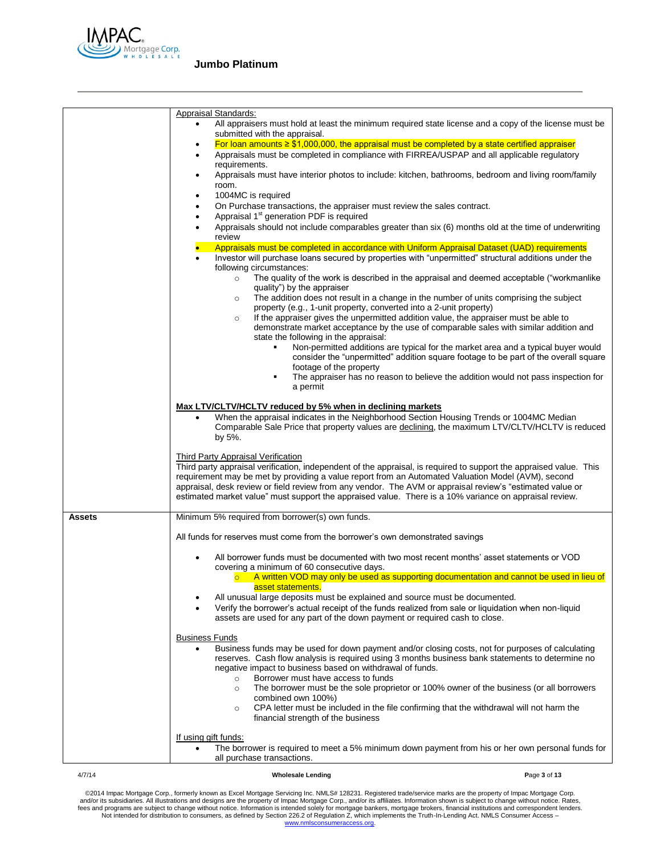

|        | <b>Appraisal Standards:</b>                                                                                                                                                                                                                                                                                                                                                                                                                                                           |              |
|--------|---------------------------------------------------------------------------------------------------------------------------------------------------------------------------------------------------------------------------------------------------------------------------------------------------------------------------------------------------------------------------------------------------------------------------------------------------------------------------------------|--------------|
|        | All appraisers must hold at least the minimum required state license and a copy of the license must be<br>٠<br>submitted with the appraisal.                                                                                                                                                                                                                                                                                                                                          |              |
|        | For loan amounts $\geq$ \$1,000,000, the appraisal must be completed by a state certified appraiser<br>٠<br>Appraisals must be completed in compliance with FIRREA/USPAP and all applicable regulatory<br>$\bullet$                                                                                                                                                                                                                                                                   |              |
|        | requirements.<br>Appraisals must have interior photos to include: kitchen, bathrooms, bedroom and living room/family<br>٠                                                                                                                                                                                                                                                                                                                                                             |              |
|        | room.<br>1004MC is required<br>٠                                                                                                                                                                                                                                                                                                                                                                                                                                                      |              |
|        | On Purchase transactions, the appraiser must review the sales contract.<br>٠<br>Appraisal 1 <sup>st</sup> generation PDF is required                                                                                                                                                                                                                                                                                                                                                  |              |
|        | $\bullet$<br>Appraisals should not include comparables greater than six (6) months old at the time of underwriting<br>$\bullet$<br>review                                                                                                                                                                                                                                                                                                                                             |              |
|        | Appraisals must be completed in accordance with Uniform Appraisal Dataset (UAD) requirements                                                                                                                                                                                                                                                                                                                                                                                          |              |
|        | Investor will purchase loans secured by properties with "unpermitted" structural additions under the<br>following circumstances:                                                                                                                                                                                                                                                                                                                                                      |              |
|        | The quality of the work is described in the appraisal and deemed acceptable ("workmanlike")<br>$\circ$<br>quality") by the appraiser                                                                                                                                                                                                                                                                                                                                                  |              |
|        | The addition does not result in a change in the number of units comprising the subject<br>$\circ$<br>property (e.g., 1-unit property, converted into a 2-unit property)                                                                                                                                                                                                                                                                                                               |              |
|        | If the appraiser gives the unpermitted addition value, the appraiser must be able to<br>$\circ$<br>demonstrate market acceptance by the use of comparable sales with similar addition and<br>state the following in the appraisal:                                                                                                                                                                                                                                                    |              |
|        | Non-permitted additions are typical for the market area and a typical buyer would<br>consider the "unpermitted" addition square footage to be part of the overall square<br>footage of the property                                                                                                                                                                                                                                                                                   |              |
|        | The appraiser has no reason to believe the addition would not pass inspection for<br>a permit                                                                                                                                                                                                                                                                                                                                                                                         |              |
|        | Max LTV/CLTV/HCLTV reduced by 5% when in declining markets<br>When the appraisal indicates in the Neighborhood Section Housing Trends or 1004MC Median<br>Comparable Sale Price that property values are declining, the maximum LTV/CLTV/HCLTV is reduced<br>by 5%.                                                                                                                                                                                                                   |              |
|        | Third Party Appraisal Verification<br>Third party appraisal verification, independent of the appraisal, is required to support the appraised value. This<br>requirement may be met by providing a value report from an Automated Valuation Model (AVM), second<br>appraisal, desk review or field review from any vendor. The AVM or appraisal review's "estimated value or<br>estimated market value" must support the appraised value. There is a 10% variance on appraisal review. |              |
| Assets | Minimum 5% required from borrower(s) own funds.                                                                                                                                                                                                                                                                                                                                                                                                                                       |              |
|        | All funds for reserves must come from the borrower's own demonstrated savings                                                                                                                                                                                                                                                                                                                                                                                                         |              |
|        | All borrower funds must be documented with two most recent months' asset statements or VOD<br>covering a minimum of 60 consecutive days.                                                                                                                                                                                                                                                                                                                                              |              |
|        | $\circ$ A written VOD may only be used as supporting documentation and cannot be used in lieu of<br>asset statements.                                                                                                                                                                                                                                                                                                                                                                 |              |
|        | All unusual large deposits must be explained and source must be documented.<br>Verify the borrower's actual receipt of the funds realized from sale or liquidation when non-liquid<br>assets are used for any part of the down payment or required cash to close.                                                                                                                                                                                                                     |              |
|        | <b>Business Funds</b>                                                                                                                                                                                                                                                                                                                                                                                                                                                                 |              |
|        | Business funds may be used for down payment and/or closing costs, not for purposes of calculating<br>reserves. Cash flow analysis is required using 3 months business bank statements to determine no<br>negative impact to business based on withdrawal of funds.                                                                                                                                                                                                                    |              |
|        | Borrower must have access to funds<br>$\circ$<br>The borrower must be the sole proprietor or 100% owner of the business (or all borrowers<br>$\circ$<br>combined own 100%)                                                                                                                                                                                                                                                                                                            |              |
|        | CPA letter must be included in the file confirming that the withdrawal will not harm the<br>$\circ$<br>financial strength of the business                                                                                                                                                                                                                                                                                                                                             |              |
|        | If using gift funds:<br>The borrower is required to meet a 5% minimum down payment from his or her own personal funds for<br>all purchase transactions.                                                                                                                                                                                                                                                                                                                               |              |
| 4/7/14 | <b>Wholesale Lending</b>                                                                                                                                                                                                                                                                                                                                                                                                                                                              | Page 3 of 13 |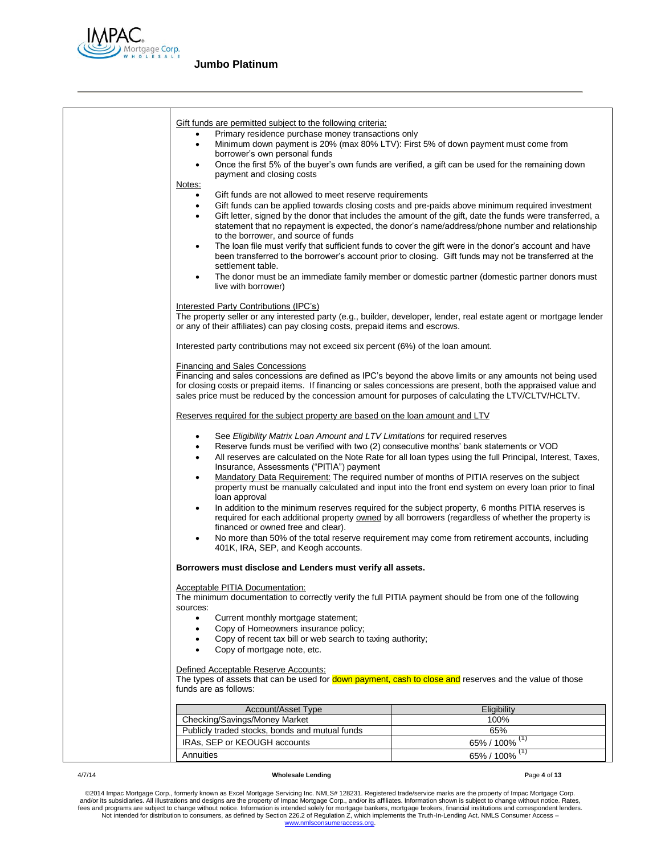

| <u>Gift funds are permitted subject to the following criteria:</u><br>Primary residence purchase money transactions only<br>٠<br>Minimum down payment is 20% (max 80% LTV): First 5% of down payment must come from<br>$\bullet$<br>borrower's own personal funds<br>٠<br>payment and closing costs<br>Notes:                                                                   | Once the first 5% of the buyer's own funds are verified, a gift can be used for the remaining down                                                                                                                                                                                                                                                                                                                                                                                                                                                                                                                                   |
|---------------------------------------------------------------------------------------------------------------------------------------------------------------------------------------------------------------------------------------------------------------------------------------------------------------------------------------------------------------------------------|--------------------------------------------------------------------------------------------------------------------------------------------------------------------------------------------------------------------------------------------------------------------------------------------------------------------------------------------------------------------------------------------------------------------------------------------------------------------------------------------------------------------------------------------------------------------------------------------------------------------------------------|
| Gift funds are not allowed to meet reserve requirements<br>$\bullet$<br>$\bullet$<br>$\bullet$<br>to the borrower, and source of funds<br>$\bullet$<br>settlement table.<br>$\bullet$<br>live with borrower)                                                                                                                                                                    | Gift funds can be applied towards closing costs and pre-paids above minimum required investment<br>Gift letter, signed by the donor that includes the amount of the gift, date the funds were transferred, a<br>statement that no repayment is expected, the donor's name/address/phone number and relationship<br>The loan file must verify that sufficient funds to cover the gift were in the donor's account and have<br>been transferred to the borrower's account prior to closing. Gift funds may not be transferred at the<br>The donor must be an immediate family member or domestic partner (domestic partner donors must |
| Interested Party Contributions (IPC's)<br>The property seller or any interested party (e.g., builder, developer, lender, real estate agent or mortgage lender<br>or any of their affiliates) can pay closing costs, prepaid items and escrows.                                                                                                                                  |                                                                                                                                                                                                                                                                                                                                                                                                                                                                                                                                                                                                                                      |
| Interested party contributions may not exceed six percent (6%) of the loan amount.                                                                                                                                                                                                                                                                                              |                                                                                                                                                                                                                                                                                                                                                                                                                                                                                                                                                                                                                                      |
| <b>Financing and Sales Concessions</b><br>Financing and sales concessions are defined as IPC's beyond the above limits or any amounts not being used<br>for closing costs or prepaid items. If financing or sales concessions are present, both the appraised value and<br>sales price must be reduced by the concession amount for purposes of calculating the LTV/CLTV/HCLTV. |                                                                                                                                                                                                                                                                                                                                                                                                                                                                                                                                                                                                                                      |
| Reserves required for the subject property are based on the loan amount and LTV                                                                                                                                                                                                                                                                                                 |                                                                                                                                                                                                                                                                                                                                                                                                                                                                                                                                                                                                                                      |
| See Eligibility Matrix Loan Amount and LTV Limitations for required reserves<br>$\bullet$<br>Reserve funds must be verified with two (2) consecutive months' bank statements or VOD<br>$\bullet$<br>$\bullet$<br>Insurance, Assessments ("PITIA") payment<br>٠<br>loan approval<br>$\bullet$<br>financed or owned free and clear).<br>٠<br>401K, IRA, SEP, and Keogh accounts.  | All reserves are calculated on the Note Rate for all loan types using the full Principal, Interest, Taxes,<br>Mandatory Data Requirement: The required number of months of PITIA reserves on the subject<br>property must be manually calculated and input into the front end system on every loan prior to final<br>In addition to the minimum reserves required for the subject property, 6 months PITIA reserves is<br>required for each additional property owned by all borrowers (regardless of whether the property is<br>No more than 50% of the total reserve requirement may come from retirement accounts, including      |
| Borrowers must disclose and Lenders must verify all assets.                                                                                                                                                                                                                                                                                                                     |                                                                                                                                                                                                                                                                                                                                                                                                                                                                                                                                                                                                                                      |
| Acceptable PITIA Documentation:<br>The minimum documentation to correctly verify the full PITIA payment should be from one of the following<br>sources:<br>Current monthly mortgage statement;<br>٠<br>Copy of Homeowners insurance policy;<br>٠<br>Copy of recent tax bill or web search to taxing authority;<br>٠<br>Copy of mortgage note, etc.<br>٠                         |                                                                                                                                                                                                                                                                                                                                                                                                                                                                                                                                                                                                                                      |
| Defined Acceptable Reserve Accounts:<br>The types of assets that can be used for down payment, cash to close and reserves and the value of those<br>funds are as follows:                                                                                                                                                                                                       |                                                                                                                                                                                                                                                                                                                                                                                                                                                                                                                                                                                                                                      |
| Account/Asset Type                                                                                                                                                                                                                                                                                                                                                              | Eligibility                                                                                                                                                                                                                                                                                                                                                                                                                                                                                                                                                                                                                          |
| Checking/Savings/Money Market                                                                                                                                                                                                                                                                                                                                                   | 100%                                                                                                                                                                                                                                                                                                                                                                                                                                                                                                                                                                                                                                 |
| Publicly traded stocks, bonds and mutual funds                                                                                                                                                                                                                                                                                                                                  | 65%                                                                                                                                                                                                                                                                                                                                                                                                                                                                                                                                                                                                                                  |
| IRAs, SEP or KEOUGH accounts                                                                                                                                                                                                                                                                                                                                                    | 65% / $100\%$ <sup>(1)</sup>                                                                                                                                                                                                                                                                                                                                                                                                                                                                                                                                                                                                         |
| Annuities                                                                                                                                                                                                                                                                                                                                                                       | 65% / $100\%$ <sup>(1)</sup>                                                                                                                                                                                                                                                                                                                                                                                                                                                                                                                                                                                                         |

### 4/7/14 **Wholesale Lending P**age **4** of **13**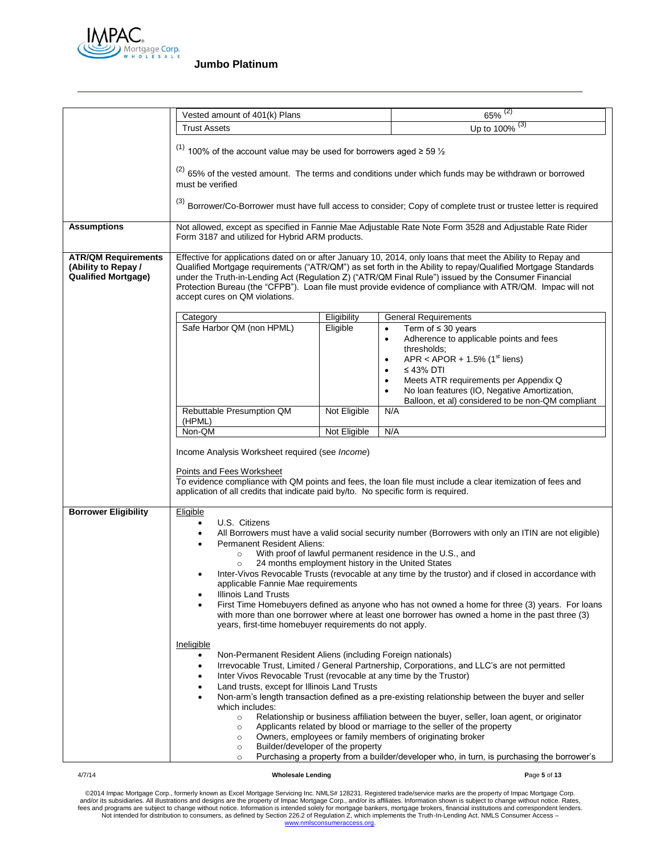

|                                                                                 | Vested amount of 401(k) Plans                                                                                                                                                                                                                                                                                                                                                                                                                                                       |                                   | $65\%$ <sup>(2)</sup>                                                                                                                                                                                                                                                                                                                                                 |
|---------------------------------------------------------------------------------|-------------------------------------------------------------------------------------------------------------------------------------------------------------------------------------------------------------------------------------------------------------------------------------------------------------------------------------------------------------------------------------------------------------------------------------------------------------------------------------|-----------------------------------|-----------------------------------------------------------------------------------------------------------------------------------------------------------------------------------------------------------------------------------------------------------------------------------------------------------------------------------------------------------------------|
|                                                                                 | <b>Trust Assets</b>                                                                                                                                                                                                                                                                                                                                                                                                                                                                 |                                   | Up to 100% (3)                                                                                                                                                                                                                                                                                                                                                        |
|                                                                                 |                                                                                                                                                                                                                                                                                                                                                                                                                                                                                     |                                   |                                                                                                                                                                                                                                                                                                                                                                       |
|                                                                                 | <sup>(1)</sup> 100% of the account value may be used for borrowers aged $\ge$ 59 $\frac{1}{2}$                                                                                                                                                                                                                                                                                                                                                                                      |                                   |                                                                                                                                                                                                                                                                                                                                                                       |
|                                                                                 | must be verified                                                                                                                                                                                                                                                                                                                                                                                                                                                                    |                                   | <sup>(2)</sup> 65% of the vested amount. The terms and conditions under which funds may be withdrawn or borrowed                                                                                                                                                                                                                                                      |
|                                                                                 |                                                                                                                                                                                                                                                                                                                                                                                                                                                                                     |                                   | (3) Borrower/Co-Borrower must have full access to consider; Copy of complete trust or trustee letter is required                                                                                                                                                                                                                                                      |
| <b>Assumptions</b>                                                              | Form 3187 and utilized for Hybrid ARM products.                                                                                                                                                                                                                                                                                                                                                                                                                                     |                                   | Not allowed, except as specified in Fannie Mae Adjustable Rate Note Form 3528 and Adjustable Rate Rider                                                                                                                                                                                                                                                               |
| <b>ATR/QM Requirements</b><br>(Ability to Repay /<br><b>Qualified Mortgage)</b> | Effective for applications dated on or after January 10, 2014, only loans that meet the Ability to Repay and<br>Qualified Mortgage requirements ("ATR/QM") as set forth in the Ability to repay/Qualified Mortgage Standards<br>under the Truth-in-Lending Act (Regulation Z) ("ATR/QM Final Rule") issued by the Consumer Financial<br>Protection Bureau (the "CFPB"). Loan file must provide evidence of compliance with ATR/QM. Impac will not<br>accept cures on QM violations. |                                   |                                                                                                                                                                                                                                                                                                                                                                       |
|                                                                                 | Category                                                                                                                                                                                                                                                                                                                                                                                                                                                                            | Eligibility                       | <b>General Requirements</b>                                                                                                                                                                                                                                                                                                                                           |
|                                                                                 | Safe Harbor QM (non HPML)                                                                                                                                                                                                                                                                                                                                                                                                                                                           | Eligible                          | Term of $\leq$ 30 years<br>$\bullet$<br>Adherence to applicable points and fees<br>$\bullet$<br>thresholds;<br>APR < APOR + 1.5% ( $1st$ liens)<br>$\bullet$<br>$\leq$ 43% DTI<br>$\bullet$<br>Meets ATR requirements per Appendix Q<br>$\bullet$<br>No Ioan features (IO, Negative Amortization,<br>$\bullet$                                                        |
|                                                                                 |                                                                                                                                                                                                                                                                                                                                                                                                                                                                                     |                                   | Balloon, et al) considered to be non-QM compliant                                                                                                                                                                                                                                                                                                                     |
|                                                                                 | Rebuttable Presumption QM<br>(HPML)                                                                                                                                                                                                                                                                                                                                                                                                                                                 | Not Eligible                      | N/A                                                                                                                                                                                                                                                                                                                                                                   |
|                                                                                 | Non-QM                                                                                                                                                                                                                                                                                                                                                                                                                                                                              | Not Eligible                      | N/A                                                                                                                                                                                                                                                                                                                                                                   |
|                                                                                 | Income Analysis Worksheet required (see Income)<br>Points and Fees Worksheet<br>application of all credits that indicate paid by/to. No specific form is required.                                                                                                                                                                                                                                                                                                                  |                                   | To evidence compliance with QM points and fees, the loan file must include a clear itemization of fees and                                                                                                                                                                                                                                                            |
| <b>Borrower Eligibility</b>                                                     | Eligible<br>U.S. Citizens<br>$\bullet$<br><b>Permanent Resident Aliens:</b><br>$\circ$<br>$\circ$                                                                                                                                                                                                                                                                                                                                                                                   |                                   | All Borrowers must have a valid social security number (Borrowers with only an ITIN are not eligible)<br>With proof of lawful permanent residence in the U.S., and<br>24 months employment history in the United States<br>Inter-Vivos Revocable Trusts (revocable at any time by the trustor) and if closed in accordance with                                       |
|                                                                                 | applicable Fannie Mae requirements<br>Illinois Land Trusts<br>٠<br>years, first-time homebuyer requirements do not apply.                                                                                                                                                                                                                                                                                                                                                           |                                   | First Time Homebuyers defined as anyone who has not owned a home for three (3) years. For loans<br>with more than one borrower where at least one borrower has owned a home in the past three (3)                                                                                                                                                                     |
|                                                                                 | Ineligible<br>Non-Permanent Resident Aliens (including Foreign nationals)<br>Inter Vivos Revocable Trust (revocable at any time by the Trustor)<br>Land trusts, except for Illinois Land Trusts<br>$\bullet$<br>which includes:<br>$\circ$<br>$\circ$                                                                                                                                                                                                                               |                                   | Irrevocable Trust, Limited / General Partnership, Corporations, and LLC's are not permitted<br>Non-arm's length transaction defined as a pre-existing relationship between the buyer and seller<br>Relationship or business affiliation between the buyer, seller, loan agent, or originator<br>Applicants related by blood or marriage to the seller of the property |
|                                                                                 | $\circ$<br>$\circ$<br>$\circ$                                                                                                                                                                                                                                                                                                                                                                                                                                                       | Builder/developer of the property | Owners, employees or family members of originating broker<br>Purchasing a property from a builder/developer who, in turn, is purchasing the borrower's                                                                                                                                                                                                                |

### 4/7/14 **Wholesale Lending P**age **5** of **13**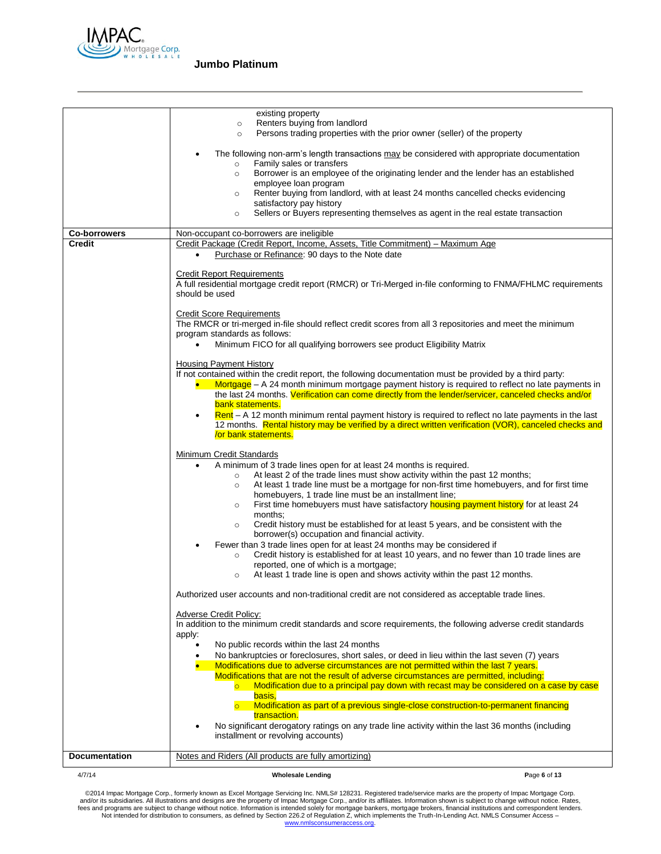

|                               | existing property<br>Renters buying from landlord                                                                                                                                                                    |              |
|-------------------------------|----------------------------------------------------------------------------------------------------------------------------------------------------------------------------------------------------------------------|--------------|
|                               | $\circ$<br>Persons trading properties with the prior owner (seller) of the property<br>$\circ$                                                                                                                       |              |
|                               |                                                                                                                                                                                                                      |              |
|                               | The following non-arm's length transactions may be considered with appropriate documentation<br>Family sales or transfers<br>$\circ$                                                                                 |              |
|                               | Borrower is an employee of the originating lender and the lender has an established<br>$\circ$                                                                                                                       |              |
|                               | employee loan program                                                                                                                                                                                                |              |
|                               | Renter buying from landlord, with at least 24 months cancelled checks evidencing<br>$\circ$<br>satisfactory pay history                                                                                              |              |
|                               | Sellers or Buyers representing themselves as agent in the real estate transaction<br>$\circ$                                                                                                                         |              |
|                               |                                                                                                                                                                                                                      |              |
| <b>Co-borrowers</b><br>Credit | Non-occupant co-borrowers are ineligible<br>Credit Package (Credit Report, Income, Assets, Title Commitment) - Maximum Age                                                                                           |              |
|                               | Purchase or Refinance: 90 days to the Note date<br>$\bullet$                                                                                                                                                         |              |
|                               |                                                                                                                                                                                                                      |              |
|                               | <b>Credit Report Requirements</b><br>A full residential mortgage credit report (RMCR) or Tri-Merged in-file conforming to FNMA/FHLMC requirements                                                                    |              |
|                               | should be used                                                                                                                                                                                                       |              |
|                               |                                                                                                                                                                                                                      |              |
|                               | <b>Credit Score Requirements</b><br>The RMCR or tri-merged in-file should reflect credit scores from all 3 repositories and meet the minimum                                                                         |              |
|                               | program standards as follows:                                                                                                                                                                                        |              |
|                               | Minimum FICO for all qualifying borrowers see product Eligibility Matrix<br>$\bullet$                                                                                                                                |              |
|                               | <b>Housing Payment History</b>                                                                                                                                                                                       |              |
|                               | If not contained within the credit report, the following documentation must be provided by a third party:                                                                                                            |              |
|                               | $Mortgage - A 24$ month minimum mortgage payment history is required to reflect no late payments in                                                                                                                  |              |
|                               | the last 24 months. Verification can come directly from the lender/servicer, canceled checks and/or                                                                                                                  |              |
|                               | bank statements.                                                                                                                                                                                                     |              |
|                               | $Rent - A$ 12 month minimum rental payment history is required to reflect no late payments in the last<br>٠<br>12 months. Rental history may be verified by a direct written verification (VOR), canceled checks and |              |
|                               | or bank statements.                                                                                                                                                                                                  |              |
|                               | Minimum Credit Standards                                                                                                                                                                                             |              |
|                               | A minimum of 3 trade lines open for at least 24 months is required.<br>$\bullet$                                                                                                                                     |              |
|                               | At least 2 of the trade lines must show activity within the past 12 months;<br>$\circ$                                                                                                                               |              |
|                               | At least 1 trade line must be a mortgage for non-first time homebuyers, and for first time<br>$\circ$                                                                                                                |              |
|                               | homebuyers, 1 trade line must be an installment line;<br>First time homebuyers must have satisfactory housing payment history for at least 24<br>$\circ$                                                             |              |
|                               | months:                                                                                                                                                                                                              |              |
|                               | Credit history must be established for at least 5 years, and be consistent with the<br>$\circ$                                                                                                                       |              |
|                               | borrower(s) occupation and financial activity.<br>Fewer than 3 trade lines open for at least 24 months may be considered if                                                                                          |              |
|                               | Credit history is established for at least 10 years, and no fewer than 10 trade lines are<br>$\circ$                                                                                                                 |              |
|                               | reported, one of which is a mortgage;                                                                                                                                                                                |              |
|                               | At least 1 trade line is open and shows activity within the past 12 months.<br>$\circ$                                                                                                                               |              |
|                               | Authorized user accounts and non-traditional credit are not considered as acceptable trade lines.                                                                                                                    |              |
|                               |                                                                                                                                                                                                                      |              |
|                               | <b>Adverse Credit Policy:</b><br>In addition to the minimum credit standards and score requirements, the following adverse credit standards                                                                          |              |
|                               | apply:                                                                                                                                                                                                               |              |
|                               | No public records within the last 24 months<br>$\bullet$                                                                                                                                                             |              |
|                               | No bankruptcies or foreclosures, short sales, or deed in lieu within the last seven (7) years                                                                                                                        |              |
|                               | Modifications due to adverse circumstances are not permitted within the last 7 years.<br>Modifications that are not the result of adverse circumstances are permitted, including:                                    |              |
|                               | Modification due to a principal pay down with recast may be considered on a case by case                                                                                                                             |              |
|                               | basis,                                                                                                                                                                                                               |              |
|                               | Modification as part of a previous single-close construction-to-permanent financing<br>$\overline{\circ}$<br>transaction.                                                                                            |              |
|                               | No significant derogatory ratings on any trade line activity within the last 36 months (including                                                                                                                    |              |
|                               | installment or revolving accounts)                                                                                                                                                                                   |              |
|                               |                                                                                                                                                                                                                      |              |
| <b>Documentation</b>          | Notes and Riders (All products are fully amortizing)                                                                                                                                                                 |              |
| 4/7/14                        | <b>Wholesale Lending</b>                                                                                                                                                                                             | Page 6 of 13 |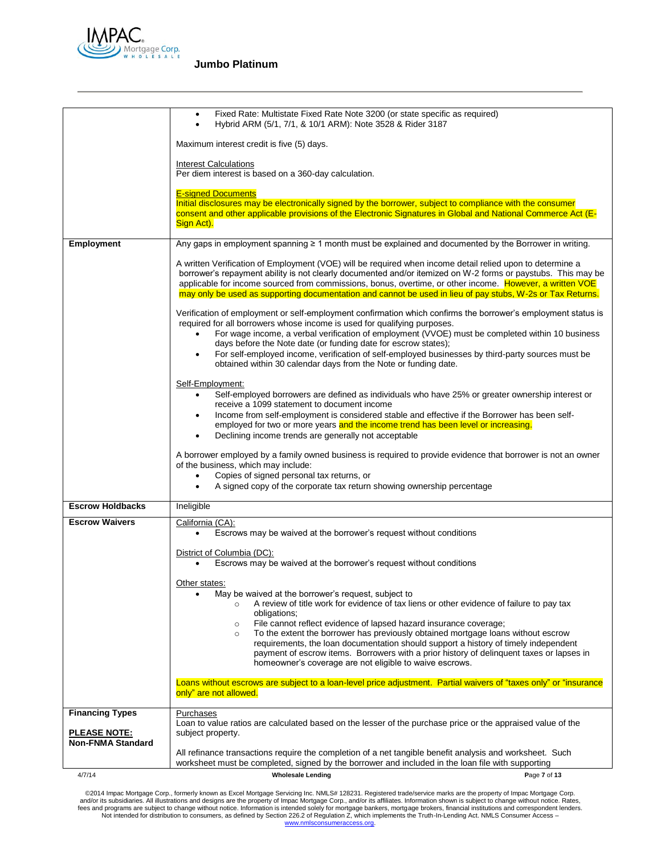

|                                                                           | Fixed Rate: Multistate Fixed Rate Note 3200 (or state specific as required)<br>Hybrid ARM (5/1, 7/1, & 10/1 ARM): Note 3528 & Rider 3187<br>$\bullet$                                                                                                                                                                                                                                                                                               |
|---------------------------------------------------------------------------|-----------------------------------------------------------------------------------------------------------------------------------------------------------------------------------------------------------------------------------------------------------------------------------------------------------------------------------------------------------------------------------------------------------------------------------------------------|
|                                                                           | Maximum interest credit is five (5) days.                                                                                                                                                                                                                                                                                                                                                                                                           |
|                                                                           | <b>Interest Calculations</b><br>Per diem interest is based on a 360-day calculation.                                                                                                                                                                                                                                                                                                                                                                |
|                                                                           | <b>E-signed Documents</b>                                                                                                                                                                                                                                                                                                                                                                                                                           |
|                                                                           | Initial disclosures may be electronically signed by the borrower, subject to compliance with the consumer                                                                                                                                                                                                                                                                                                                                           |
|                                                                           | consent and other applicable provisions of the Electronic Signatures in Global and National Commerce Act (E-<br>Sign Act).                                                                                                                                                                                                                                                                                                                          |
| <b>Employment</b>                                                         | Any gaps in employment spanning $\geq 1$ month must be explained and documented by the Borrower in writing.                                                                                                                                                                                                                                                                                                                                         |
|                                                                           | A written Verification of Employment (VOE) will be required when income detail relied upon to determine a<br>borrower's repayment ability is not clearly documented and/or itemized on W-2 forms or paystubs. This may be<br>applicable for income sourced from commissions, bonus, overtime, or other income. However, a written VOE<br>may only be used as supporting documentation and cannot be used in lieu of pay stubs, W-2s or Tax Returns. |
|                                                                           | Verification of employment or self-employment confirmation which confirms the borrower's employment status is<br>required for all borrowers whose income is used for qualifying purposes.<br>For wage income, a verbal verification of employment (VVOE) must be completed within 10 business<br>٠                                                                                                                                                  |
|                                                                           | days before the Note date (or funding date for escrow states);<br>For self-employed income, verification of self-employed businesses by third-party sources must be<br>obtained within 30 calendar days from the Note or funding date.                                                                                                                                                                                                              |
|                                                                           | Self-Employment:<br>Self-employed borrowers are defined as individuals who have 25% or greater ownership interest or<br>$\bullet$<br>receive a 1099 statement to document income                                                                                                                                                                                                                                                                    |
|                                                                           | Income from self-employment is considered stable and effective if the Borrower has been self-<br>٠<br>employed for two or more years and the income trend has been level or increasing.<br>Declining income trends are generally not acceptable<br>٠                                                                                                                                                                                                |
|                                                                           | A borrower employed by a family owned business is required to provide evidence that borrower is not an owner<br>of the business, which may include:<br>Copies of signed personal tax returns, or<br>$\bullet$                                                                                                                                                                                                                                       |
|                                                                           | A signed copy of the corporate tax return showing ownership percentage<br>$\bullet$                                                                                                                                                                                                                                                                                                                                                                 |
| <b>Escrow Holdbacks</b>                                                   | Ineligible                                                                                                                                                                                                                                                                                                                                                                                                                                          |
| <b>Escrow Waivers</b>                                                     | California (CA):<br>Escrows may be waived at the borrower's request without conditions                                                                                                                                                                                                                                                                                                                                                              |
|                                                                           | District of Columbia (DC):<br>Escrows may be waived at the borrower's request without conditions                                                                                                                                                                                                                                                                                                                                                    |
|                                                                           | Other states:<br>May be waived at the borrower's request, subject to<br>A review of title work for evidence of tax liens or other evidence of failure to pay tax<br>obligations;<br>File cannot reflect evidence of lapsed hazard insurance coverage;<br>$\circ$                                                                                                                                                                                    |
|                                                                           | To the extent the borrower has previously obtained mortgage loans without escrow<br>$\circ$<br>requirements, the loan documentation should support a history of timely independent<br>payment of escrow items. Borrowers with a prior history of delinquent taxes or lapses in<br>homeowner's coverage are not eligible to waive escrows.                                                                                                           |
|                                                                           | Loans without escrows are subject to a loan-level price adjustment. Partial waivers of "taxes only" or "insurance<br>only" are not allowed.                                                                                                                                                                                                                                                                                                         |
| <b>Financing Types</b><br><b>PLEASE NOTE:</b><br><b>Non-FNMA Standard</b> | Purchases<br>Loan to value ratios are calculated based on the lesser of the purchase price or the appraised value of the<br>subject property.                                                                                                                                                                                                                                                                                                       |
|                                                                           | All refinance transactions require the completion of a net tangible benefit analysis and worksheet. Such<br>worksheet must be completed, signed by the borrower and included in the loan file with supporting                                                                                                                                                                                                                                       |
| 4/7/14                                                                    | Page 7 of 13<br><b>Wholesale Lending</b>                                                                                                                                                                                                                                                                                                                                                                                                            |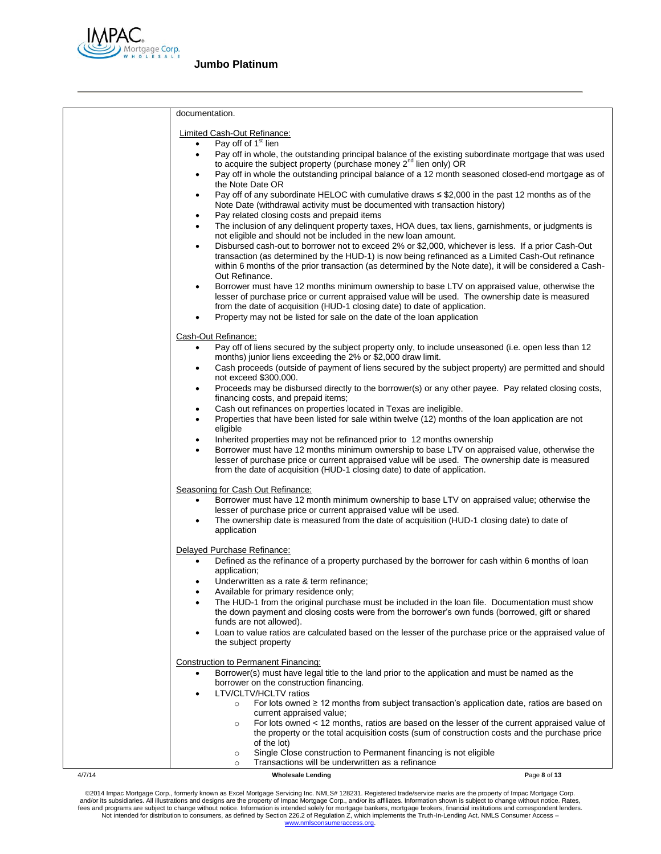

|        | documentation.                                                                                                                                                                                                                                                                                                                                                                     |
|--------|------------------------------------------------------------------------------------------------------------------------------------------------------------------------------------------------------------------------------------------------------------------------------------------------------------------------------------------------------------------------------------|
|        |                                                                                                                                                                                                                                                                                                                                                                                    |
|        | Limited Cash-Out Refinance:                                                                                                                                                                                                                                                                                                                                                        |
|        | Pay off of 1 <sup>st</sup> lien<br>$\bullet$<br>Pay off in whole, the outstanding principal balance of the existing subordinate mortgage that was used<br>$\bullet$<br>to acquire the subject property (purchase money 2 <sup>nd</sup> lien only) OR                                                                                                                               |
|        | Pay off in whole the outstanding principal balance of a 12 month seasoned closed-end mortgage as of<br>$\bullet$<br>the Note Date OR                                                                                                                                                                                                                                               |
|        | Pay off of any subordinate HELOC with cumulative draws $\leq$ \$2,000 in the past 12 months as of the<br>٠<br>Note Date (withdrawal activity must be documented with transaction history)                                                                                                                                                                                          |
|        | Pay related closing costs and prepaid items<br>$\bullet$<br>The inclusion of any delinquent property taxes, HOA dues, tax liens, garnishments, or judgments is<br>$\bullet$<br>not eligible and should not be included in the new loan amount.                                                                                                                                     |
|        | Disbursed cash-out to borrower not to exceed 2% or \$2,000, whichever is less. If a prior Cash-Out<br>٠<br>transaction (as determined by the HUD-1) is now being refinanced as a Limited Cash-Out refinance<br>within 6 months of the prior transaction (as determined by the Note date), it will be considered a Cash-<br>Out Refinance.                                          |
|        | Borrower must have 12 months minimum ownership to base LTV on appraised value, otherwise the<br>$\bullet$<br>lesser of purchase price or current appraised value will be used. The ownership date is measured<br>from the date of acquisition (HUD-1 closing date) to date of application.<br>Property may not be listed for sale on the date of the loan application<br>$\bullet$ |
|        |                                                                                                                                                                                                                                                                                                                                                                                    |
|        | Cash-Out Refinance:<br>Pay off of liens secured by the subject property only, to include unseasoned (i.e. open less than 12<br>$\bullet$<br>months) junior liens exceeding the 2% or \$2,000 draw limit.                                                                                                                                                                           |
|        | Cash proceeds (outside of payment of liens secured by the subject property) are permitted and should<br>$\bullet$<br>not exceed \$300,000.<br>Proceeds may be disbursed directly to the borrower(s) or any other payee. Pay related closing costs,<br>$\bullet$                                                                                                                    |
|        | financing costs, and prepaid items;<br>Cash out refinances on properties located in Texas are ineligible.<br>$\bullet$                                                                                                                                                                                                                                                             |
|        | Properties that have been listed for sale within twelve (12) months of the loan application are not<br>$\bullet$<br>eligible                                                                                                                                                                                                                                                       |
|        | Inherited properties may not be refinanced prior to 12 months ownership<br>٠<br>Borrower must have 12 months minimum ownership to base LTV on appraised value, otherwise the<br>$\bullet$<br>lesser of purchase price or current appraised value will be used. The ownership date is measured<br>from the date of acquisition (HUD-1 closing date) to date of application.         |
|        | Seasoning for Cash Out Refinance:                                                                                                                                                                                                                                                                                                                                                  |
|        | Borrower must have 12 month minimum ownership to base LTV on appraised value; otherwise the<br>lesser of purchase price or current appraised value will be used.<br>The ownership date is measured from the date of acquisition (HUD-1 closing date) to date of<br>٠<br>application                                                                                                |
|        |                                                                                                                                                                                                                                                                                                                                                                                    |
|        | Delayed Purchase Refinance:<br>Defined as the refinance of a property purchased by the borrower for cash within 6 months of loan<br>٠<br>application;                                                                                                                                                                                                                              |
|        | Underwritten as a rate & term refinance;<br>٠<br>Available for primary residence only;                                                                                                                                                                                                                                                                                             |
|        | The HUD-1 from the original purchase must be included in the loan file. Documentation must show<br>the down payment and closing costs were from the borrower's own funds (borrowed, gift or shared<br>funds are not allowed).                                                                                                                                                      |
|        | Loan to value ratios are calculated based on the lesser of the purchase price or the appraised value of<br>$\bullet$<br>the subject property                                                                                                                                                                                                                                       |
|        | <b>Construction to Permanent Financing:</b>                                                                                                                                                                                                                                                                                                                                        |
|        | Borrower(s) must have legal title to the land prior to the application and must be named as the<br>borrower on the construction financing.<br>LTV/CLTV/HCLTV ratios                                                                                                                                                                                                                |
|        | For lots owned $\geq 12$ months from subject transaction's application date, ratios are based on<br>$\circ$<br>current appraised value;                                                                                                                                                                                                                                            |
|        | For lots owned < 12 months, ratios are based on the lesser of the current appraised value of<br>$\circ$<br>the property or the total acquisition costs (sum of construction costs and the purchase price<br>of the lot)                                                                                                                                                            |
|        | Single Close construction to Permanent financing is not eligible<br>$\circ$<br>Transactions will be underwritten as a refinance<br>$\circ$                                                                                                                                                                                                                                         |
| 4/7/14 | <b>Wholesale Lending</b><br>Page 8 of 13                                                                                                                                                                                                                                                                                                                                           |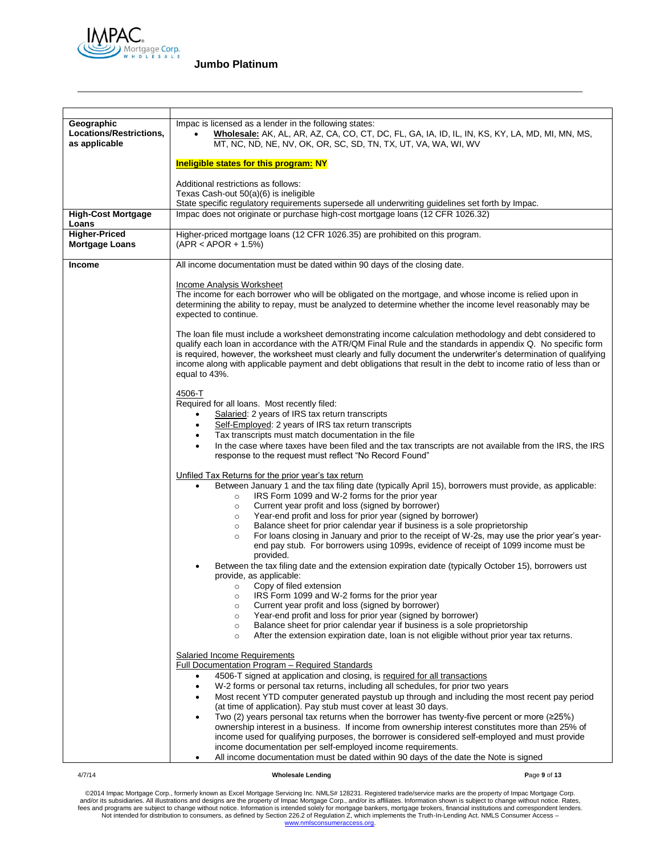

| Geographic<br>Locations/Restrictions,<br>as applicable | Impac is licensed as a lender in the following states:<br>Wholesale: AK, AL, AR, AZ, CA, CO, CT, DC, FL, GA, IA, ID, IL, IN, KS, KY, LA, MD, MI, MN, MS,<br>MT, NC, ND, NE, NV, OK, OR, SC, SD, TN, TX, UT, VA, WA, WI, WV                                                                                                                                                                                                                                                            |
|--------------------------------------------------------|---------------------------------------------------------------------------------------------------------------------------------------------------------------------------------------------------------------------------------------------------------------------------------------------------------------------------------------------------------------------------------------------------------------------------------------------------------------------------------------|
|                                                        | <b>Ineligible states for this program: NY</b>                                                                                                                                                                                                                                                                                                                                                                                                                                         |
|                                                        | Additional restrictions as follows:<br>Texas Cash-out 50(a)(6) is ineligible<br>State specific regulatory requirements supersede all underwriting guidelines set forth by Impac.                                                                                                                                                                                                                                                                                                      |
| <b>High-Cost Mortgage</b><br>Loans                     | Impac does not originate or purchase high-cost mortgage loans (12 CFR 1026.32)                                                                                                                                                                                                                                                                                                                                                                                                        |
| <b>Higher-Priced</b>                                   | Higher-priced mortgage loans (12 CFR 1026.35) are prohibited on this program.                                                                                                                                                                                                                                                                                                                                                                                                         |
| <b>Mortgage Loans</b>                                  | $(APR < APOR + 1.5%)$                                                                                                                                                                                                                                                                                                                                                                                                                                                                 |
| <b>Income</b>                                          | All income documentation must be dated within 90 days of the closing date.                                                                                                                                                                                                                                                                                                                                                                                                            |
|                                                        | Income Analysis Worksheet                                                                                                                                                                                                                                                                                                                                                                                                                                                             |
|                                                        | The income for each borrower who will be obligated on the mortgage, and whose income is relied upon in                                                                                                                                                                                                                                                                                                                                                                                |
|                                                        | determining the ability to repay, must be analyzed to determine whether the income level reasonably may be                                                                                                                                                                                                                                                                                                                                                                            |
|                                                        | expected to continue.                                                                                                                                                                                                                                                                                                                                                                                                                                                                 |
|                                                        | The loan file must include a worksheet demonstrating income calculation methodology and debt considered to<br>qualify each loan in accordance with the ATR/QM Final Rule and the standards in appendix Q. No specific form<br>is required, however, the worksheet must clearly and fully document the underwriter's determination of qualifying<br>income along with applicable payment and debt obligations that result in the debt to income ratio of less than or<br>equal to 43%. |
|                                                        | 4506-T                                                                                                                                                                                                                                                                                                                                                                                                                                                                                |
|                                                        | Required for all loans. Most recently filed:                                                                                                                                                                                                                                                                                                                                                                                                                                          |
|                                                        | Salaried: 2 years of IRS tax return transcripts<br>$\bullet$                                                                                                                                                                                                                                                                                                                                                                                                                          |
|                                                        | Self-Employed: 2 years of IRS tax return transcripts<br>$\bullet$                                                                                                                                                                                                                                                                                                                                                                                                                     |
|                                                        | Tax transcripts must match documentation in the file<br>$\bullet$                                                                                                                                                                                                                                                                                                                                                                                                                     |
|                                                        | In the case where taxes have been filed and the tax transcripts are not available from the IRS, the IRS<br>٠<br>response to the request must reflect "No Record Found"                                                                                                                                                                                                                                                                                                                |
|                                                        | Unfiled Tax Returns for the prior year's tax return                                                                                                                                                                                                                                                                                                                                                                                                                                   |
|                                                        | Between January 1 and the tax filing date (typically April 15), borrowers must provide, as applicable:<br>٠                                                                                                                                                                                                                                                                                                                                                                           |
|                                                        | IRS Form 1099 and W-2 forms for the prior year<br>$\circ$                                                                                                                                                                                                                                                                                                                                                                                                                             |
|                                                        | Current year profit and loss (signed by borrower)<br>$\circ$                                                                                                                                                                                                                                                                                                                                                                                                                          |
|                                                        | Year-end profit and loss for prior year (signed by borrower)<br>$\circ$                                                                                                                                                                                                                                                                                                                                                                                                               |
|                                                        | Balance sheet for prior calendar year if business is a sole proprietorship<br>$\circ$                                                                                                                                                                                                                                                                                                                                                                                                 |
|                                                        | For loans closing in January and prior to the receipt of W-2s, may use the prior year's year-<br>$\circ$<br>end pay stub. For borrowers using 1099s, evidence of receipt of 1099 income must be<br>provided.                                                                                                                                                                                                                                                                          |
|                                                        | Between the tax filing date and the extension expiration date (typically October 15), borrowers ust                                                                                                                                                                                                                                                                                                                                                                                   |
|                                                        | provide, as applicable:                                                                                                                                                                                                                                                                                                                                                                                                                                                               |
|                                                        | Copy of filed extension<br>$\circ$                                                                                                                                                                                                                                                                                                                                                                                                                                                    |
|                                                        | IRS Form 1099 and W-2 forms for the prior year<br>$\circ$                                                                                                                                                                                                                                                                                                                                                                                                                             |
|                                                        | Current year profit and loss (signed by borrower)<br>$\circ$<br>Year-end profit and loss for prior year (signed by borrower)<br>$\circ$                                                                                                                                                                                                                                                                                                                                               |
|                                                        | Balance sheet for prior calendar year if business is a sole proprietorship<br>$\circ$                                                                                                                                                                                                                                                                                                                                                                                                 |
|                                                        | After the extension expiration date, loan is not eligible without prior year tax returns.<br>$\circ$                                                                                                                                                                                                                                                                                                                                                                                  |
|                                                        |                                                                                                                                                                                                                                                                                                                                                                                                                                                                                       |
|                                                        | Salaried Income Requirements<br>Full Documentation Program - Required Standards                                                                                                                                                                                                                                                                                                                                                                                                       |
|                                                        | 4506-T signed at application and closing, is required for all transactions<br>$\bullet$                                                                                                                                                                                                                                                                                                                                                                                               |
|                                                        | W-2 forms or personal tax returns, including all schedules, for prior two years<br>$\bullet$                                                                                                                                                                                                                                                                                                                                                                                          |
|                                                        | Most recent YTD computer generated paystub up through and including the most recent pay period<br>$\bullet$                                                                                                                                                                                                                                                                                                                                                                           |
|                                                        | (at time of application). Pay stub must cover at least 30 days.                                                                                                                                                                                                                                                                                                                                                                                                                       |
|                                                        | Two (2) years personal tax returns when the borrower has twenty-five percent or more ( $\geq 25\%$ )                                                                                                                                                                                                                                                                                                                                                                                  |
|                                                        | ownership interest in a business. If income from ownership interest constitutes more than 25% of<br>income used for qualifying purposes, the borrower is considered self-employed and must provide                                                                                                                                                                                                                                                                                    |
|                                                        | income documentation per self-employed income requirements.                                                                                                                                                                                                                                                                                                                                                                                                                           |
|                                                        | All income documentation must be dated within 90 days of the date the Note is signed                                                                                                                                                                                                                                                                                                                                                                                                  |

### 4/7/14 **Wholesale Lending P**age **9** of **13**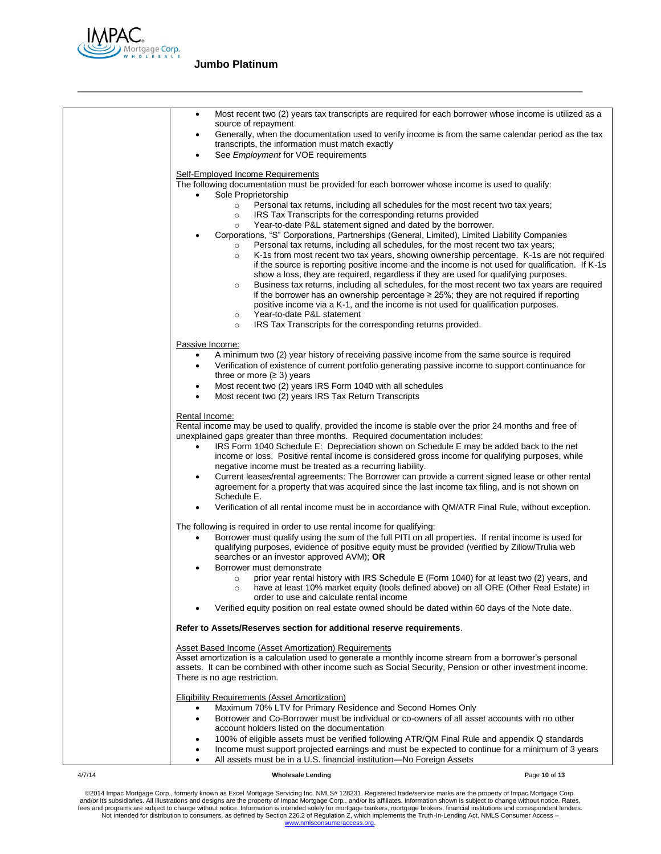

| Most recent two (2) years tax transcripts are required for each borrower whose income is utilized as a<br>$\bullet$<br>source of repayment<br>Generally, when the documentation used to verify income is from the same calendar period as the tax<br>transcripts, the information must match exactly                                                                                                                                                                                                                                                                                                                                                                                                                                                                                                                                                                                                                                                                                         |
|----------------------------------------------------------------------------------------------------------------------------------------------------------------------------------------------------------------------------------------------------------------------------------------------------------------------------------------------------------------------------------------------------------------------------------------------------------------------------------------------------------------------------------------------------------------------------------------------------------------------------------------------------------------------------------------------------------------------------------------------------------------------------------------------------------------------------------------------------------------------------------------------------------------------------------------------------------------------------------------------|
| See <i>Employment</i> for VOE requirements                                                                                                                                                                                                                                                                                                                                                                                                                                                                                                                                                                                                                                                                                                                                                                                                                                                                                                                                                   |
| Self-Employed Income Requirements<br>The following documentation must be provided for each borrower whose income is used to qualify:<br>Sole Proprietorship<br>$\bullet$<br>Personal tax returns, including all schedules for the most recent two tax years;<br>$\circ$<br>IRS Tax Transcripts for the corresponding returns provided<br>$\circ$                                                                                                                                                                                                                                                                                                                                                                                                                                                                                                                                                                                                                                             |
| Year-to-date P&L statement signed and dated by the borrower.<br>$\circ$<br>Corporations, "S" Corporations, Partnerships (General, Limited), Limited Liability Companies<br>Personal tax returns, including all schedules, for the most recent two tax years;<br>$\circ$<br>K-1s from most recent two tax years, showing ownership percentage. K-1s are not required<br>$\circ$<br>if the source is reporting positive income and the income is not used for qualification. If K-1s<br>show a loss, they are required, regardless if they are used for qualifying purposes.<br>Business tax returns, including all schedules, for the most recent two tax years are required<br>$\circ$<br>if the borrower has an ownership percentage $\geq$ 25%; they are not required if reporting<br>positive income via a K-1, and the income is not used for qualification purposes.<br>Year-to-date P&L statement<br>$\circ$<br>IRS Tax Transcripts for the corresponding returns provided.<br>$\circ$ |
| Passive Income:                                                                                                                                                                                                                                                                                                                                                                                                                                                                                                                                                                                                                                                                                                                                                                                                                                                                                                                                                                              |
| A minimum two (2) year history of receiving passive income from the same source is required<br>Verification of existence of current portfolio generating passive income to support continuance for<br>$\bullet$<br>three or more $(≥ 3)$ years                                                                                                                                                                                                                                                                                                                                                                                                                                                                                                                                                                                                                                                                                                                                               |
| Most recent two (2) years IRS Form 1040 with all schedules<br>٠<br>Most recent two (2) years IRS Tax Return Transcripts<br>$\bullet$                                                                                                                                                                                                                                                                                                                                                                                                                                                                                                                                                                                                                                                                                                                                                                                                                                                         |
| Rental Income:<br>Rental income may be used to qualify, provided the income is stable over the prior 24 months and free of<br>unexplained gaps greater than three months. Required documentation includes:<br>IRS Form 1040 Schedule E: Depreciation shown on Schedule E may be added back to the net<br>income or loss. Positive rental income is considered gross income for qualifying purposes, while<br>negative income must be treated as a recurring liability.<br>Current leases/rental agreements: The Borrower can provide a current signed lease or other rental<br>٠<br>agreement for a property that was acquired since the last income tax filing, and is not shown on<br>Schedule E.                                                                                                                                                                                                                                                                                          |
| Verification of all rental income must be in accordance with QM/ATR Final Rule, without exception.                                                                                                                                                                                                                                                                                                                                                                                                                                                                                                                                                                                                                                                                                                                                                                                                                                                                                           |
| The following is required in order to use rental income for qualifying:<br>Borrower must qualify using the sum of the full PITI on all properties. If rental income is used for<br>٠<br>qualifying purposes, evidence of positive equity must be provided (verified by Zillow/Trulia web<br>searches or an investor approved AVM); OR<br>Borrower must demonstrate                                                                                                                                                                                                                                                                                                                                                                                                                                                                                                                                                                                                                           |
| prior year rental history with IRS Schedule E (Form 1040) for at least two (2) years, and<br>$\circ$<br>have at least 10% market equity (tools defined above) on all ORE (Other Real Estate) in<br>order to use and calculate rental income<br>Verified equity position on real estate owned should be dated within 60 days of the Note date.                                                                                                                                                                                                                                                                                                                                                                                                                                                                                                                                                                                                                                                |
|                                                                                                                                                                                                                                                                                                                                                                                                                                                                                                                                                                                                                                                                                                                                                                                                                                                                                                                                                                                              |
| Refer to Assets/Reserves section for additional reserve requirements.                                                                                                                                                                                                                                                                                                                                                                                                                                                                                                                                                                                                                                                                                                                                                                                                                                                                                                                        |
| <b>Asset Based Income (Asset Amortization) Requirements</b><br>Asset amortization is a calculation used to generate a monthly income stream from a borrower's personal<br>assets. It can be combined with other income such as Social Security, Pension or other investment income.<br>There is no age restriction.                                                                                                                                                                                                                                                                                                                                                                                                                                                                                                                                                                                                                                                                          |
| Eligibility Requirements (Asset Amortization)                                                                                                                                                                                                                                                                                                                                                                                                                                                                                                                                                                                                                                                                                                                                                                                                                                                                                                                                                |
| Maximum 70% LTV for Primary Residence and Second Homes Only<br>٠<br>Borrower and Co-Borrower must be individual or co-owners of all asset accounts with no other                                                                                                                                                                                                                                                                                                                                                                                                                                                                                                                                                                                                                                                                                                                                                                                                                             |
| $\bullet$<br>account holders listed on the documentation                                                                                                                                                                                                                                                                                                                                                                                                                                                                                                                                                                                                                                                                                                                                                                                                                                                                                                                                     |
| 100% of eligible assets must be verified following ATR/QM Final Rule and appendix Q standards<br>٠<br>Income must support projected earnings and must be expected to continue for a minimum of 3 years<br>٠<br>All assets must be in a U.S. financial institution-No Foreign Assets<br>$\bullet$                                                                                                                                                                                                                                                                                                                                                                                                                                                                                                                                                                                                                                                                                             |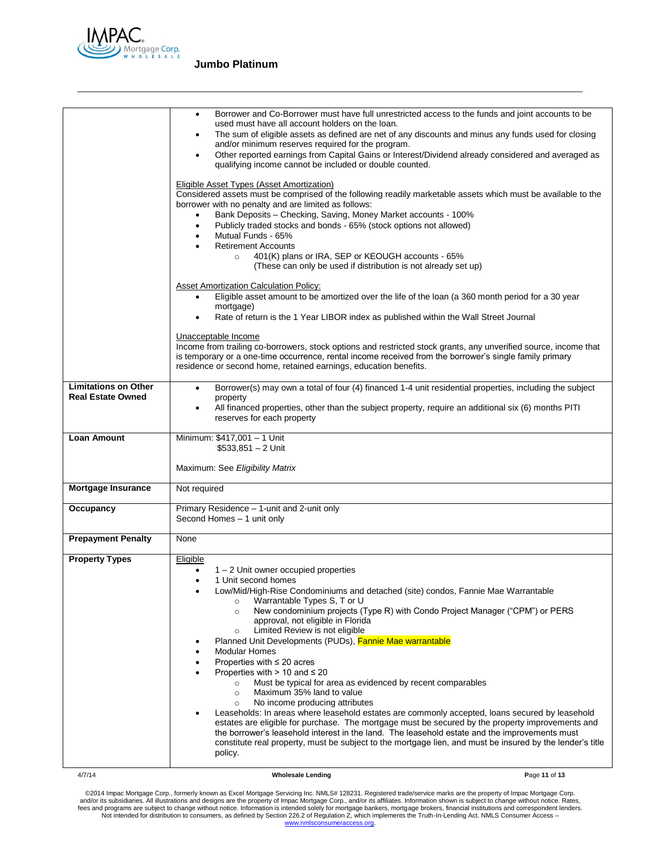

|                                                         | Borrower and Co-Borrower must have full unrestricted access to the funds and joint accounts to be<br>$\bullet$<br>used must have all account holders on the loan.<br>The sum of eligible assets as defined are net of any discounts and minus any funds used for closing<br>$\bullet$<br>and/or minimum reserves required for the program.<br>Other reported earnings from Capital Gains or Interest/Dividend already considered and averaged as<br>$\bullet$<br>qualifying income cannot be included or double counted.<br>Eligible Asset Types (Asset Amortization)<br>Considered assets must be comprised of the following readily marketable assets which must be available to the<br>borrower with no penalty and are limited as follows:<br>Bank Deposits - Checking, Saving, Money Market accounts - 100%<br>Publicly traded stocks and bonds - 65% (stock options not allowed)<br>$\bullet$<br>Mutual Funds - 65%<br>$\bullet$<br><b>Retirement Accounts</b><br>401(K) plans or IRA, SEP or KEOUGH accounts - 65%<br>$\circ$<br>(These can only be used if distribution is not already set up)                                                                       |
|---------------------------------------------------------|------------------------------------------------------------------------------------------------------------------------------------------------------------------------------------------------------------------------------------------------------------------------------------------------------------------------------------------------------------------------------------------------------------------------------------------------------------------------------------------------------------------------------------------------------------------------------------------------------------------------------------------------------------------------------------------------------------------------------------------------------------------------------------------------------------------------------------------------------------------------------------------------------------------------------------------------------------------------------------------------------------------------------------------------------------------------------------------------------------------------------------------------------------------------------|
|                                                         | <b>Asset Amortization Calculation Policy:</b><br>Eligible asset amount to be amortized over the life of the loan (a 360 month period for a 30 year<br>$\bullet$<br>mortgage)<br>Rate of return is the 1 Year LIBOR index as published within the Wall Street Journal<br>$\bullet$                                                                                                                                                                                                                                                                                                                                                                                                                                                                                                                                                                                                                                                                                                                                                                                                                                                                                            |
|                                                         | Unacceptable Income<br>Income from trailing co-borrowers, stock options and restricted stock grants, any unverified source, income that<br>is temporary or a one-time occurrence, rental income received from the borrower's single family primary<br>residence or second home, retained earnings, education benefits.                                                                                                                                                                                                                                                                                                                                                                                                                                                                                                                                                                                                                                                                                                                                                                                                                                                       |
| <b>Limitations on Other</b><br><b>Real Estate Owned</b> | Borrower(s) may own a total of four (4) financed 1-4 unit residential properties, including the subject<br>$\bullet$<br>property<br>All financed properties, other than the subject property, require an additional six (6) months PITI<br>$\bullet$<br>reserves for each property                                                                                                                                                                                                                                                                                                                                                                                                                                                                                                                                                                                                                                                                                                                                                                                                                                                                                           |
| <b>Loan Amount</b>                                      | Minimum: \$417,001 - 1 Unit<br>$$533,851 - 2$ Unit<br>Maximum: See Eligibility Matrix                                                                                                                                                                                                                                                                                                                                                                                                                                                                                                                                                                                                                                                                                                                                                                                                                                                                                                                                                                                                                                                                                        |
| Mortgage Insurance                                      | Not required                                                                                                                                                                                                                                                                                                                                                                                                                                                                                                                                                                                                                                                                                                                                                                                                                                                                                                                                                                                                                                                                                                                                                                 |
| Occupancy                                               | Primary Residence - 1-unit and 2-unit only<br>Second Homes - 1 unit only                                                                                                                                                                                                                                                                                                                                                                                                                                                                                                                                                                                                                                                                                                                                                                                                                                                                                                                                                                                                                                                                                                     |
| <b>Prepayment Penalty</b>                               | None                                                                                                                                                                                                                                                                                                                                                                                                                                                                                                                                                                                                                                                                                                                                                                                                                                                                                                                                                                                                                                                                                                                                                                         |
| <b>Property Types</b>                                   | Eligible<br>$1 - 2$ Unit owner occupied properties<br>$\bullet$<br>1 Unit second homes<br>$\bullet$<br>Low/Mid/High-Rise Condominiums and detached (site) condos, Fannie Mae Warrantable<br>Warrantable Types S, T or U<br>$\circ$<br>New condominium projects (Type R) with Condo Project Manager ("CPM") or PERS<br>$\circ$<br>approval, not eligible in Florida<br>Limited Review is not eligible<br>$\circ$<br>Planned Unit Developments (PUDs), Fannie Mae warrantable<br><b>Modular Homes</b><br>Properties with $\leq 20$ acres<br>Properties with $> 10$ and $\leq 20$<br>Must be typical for area as evidenced by recent comparables<br>$\circ$<br>Maximum 35% land to value<br>$\circ$<br>No income producing attributes<br>$\circ$<br>Leaseholds: In areas where leasehold estates are commonly accepted, loans secured by leasehold<br>estates are eligible for purchase. The mortgage must be secured by the property improvements and<br>the borrower's leasehold interest in the land. The leasehold estate and the improvements must<br>constitute real property, must be subject to the mortgage lien, and must be insured by the lender's title<br>policy. |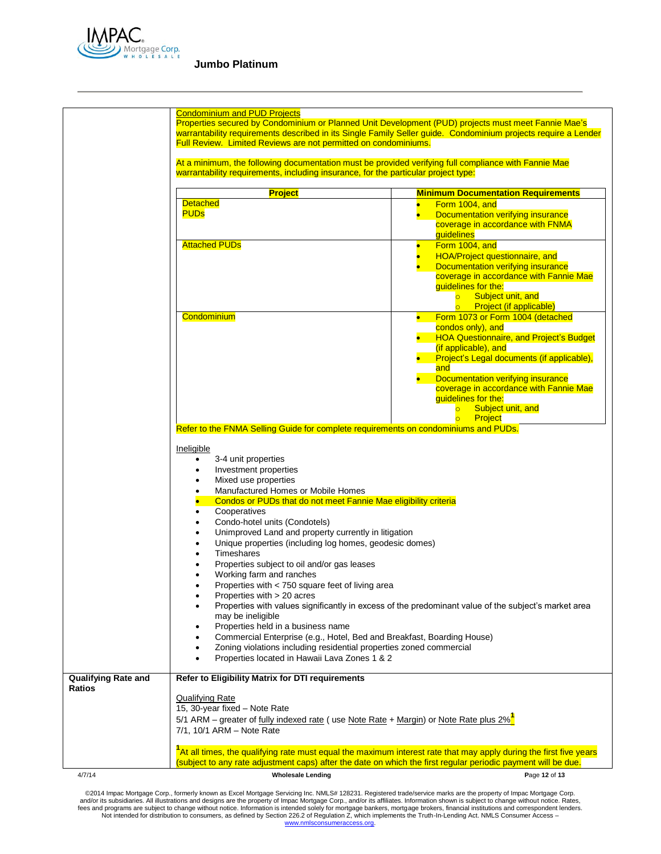

|                            | <b>Condominium and PUD Projects</b>                                                                                                                                                                                                                                                                                                                                                                                                                                                                                                                                                                                                                                                                                                                                                                                                                                                                                                |                                                                                                                                                                                                                                                                                                         |  |
|----------------------------|------------------------------------------------------------------------------------------------------------------------------------------------------------------------------------------------------------------------------------------------------------------------------------------------------------------------------------------------------------------------------------------------------------------------------------------------------------------------------------------------------------------------------------------------------------------------------------------------------------------------------------------------------------------------------------------------------------------------------------------------------------------------------------------------------------------------------------------------------------------------------------------------------------------------------------|---------------------------------------------------------------------------------------------------------------------------------------------------------------------------------------------------------------------------------------------------------------------------------------------------------|--|
|                            | Properties secured by Condominium or Planned Unit Development (PUD) projects must meet Fannie Mae's<br>warrantability requirements described in its Single Family Seller guide. Condominium projects require a Lender<br><b>Full Review. Limited Reviews are not permitted on condominiums.</b>                                                                                                                                                                                                                                                                                                                                                                                                                                                                                                                                                                                                                                    |                                                                                                                                                                                                                                                                                                         |  |
|                            | At a minimum, the following documentation must be provided verifying full compliance with Fannie Mae<br>warrantability requirements, including insurance, for the particular project type:                                                                                                                                                                                                                                                                                                                                                                                                                                                                                                                                                                                                                                                                                                                                         |                                                                                                                                                                                                                                                                                                         |  |
|                            | <b>Project</b>                                                                                                                                                                                                                                                                                                                                                                                                                                                                                                                                                                                                                                                                                                                                                                                                                                                                                                                     | <b>Minimum Documentation Requirements</b>                                                                                                                                                                                                                                                               |  |
|                            | <b>Detached</b><br><b>PUDs</b>                                                                                                                                                                                                                                                                                                                                                                                                                                                                                                                                                                                                                                                                                                                                                                                                                                                                                                     | Form 1004, and<br>$\bullet$<br>Documentation verifying insurance<br>$\bullet$<br>coverage in accordance with FNMA<br>guidelines                                                                                                                                                                         |  |
|                            | <b>Attached PUDs</b>                                                                                                                                                                                                                                                                                                                                                                                                                                                                                                                                                                                                                                                                                                                                                                                                                                                                                                               | Form 1004, and<br>$\bullet$<br>HOA/Project questionnaire, and<br>$\bullet$<br>Documentation verifying insurance<br>coverage in accordance with Fannie Mae<br>guidelines for the:<br>Subject unit, and<br>$\overline{\bullet}$<br>o Project (if applicable)                                              |  |
|                            | Condominium                                                                                                                                                                                                                                                                                                                                                                                                                                                                                                                                                                                                                                                                                                                                                                                                                                                                                                                        | Form 1073 or Form 1004 (detached<br>$\bullet$<br>condos only), and<br><b>HOA Questionnaire, and Project's Budget</b><br>(if applicable), and<br>Project's Legal documents (if applicable),<br>and<br>Documentation verifying insurance<br>coverage in accordance with Fannie Mae<br>guidelines for the: |  |
|                            |                                                                                                                                                                                                                                                                                                                                                                                                                                                                                                                                                                                                                                                                                                                                                                                                                                                                                                                                    | Subject unit, and<br>$\overline{\circ}$<br>$\circ$<br>Project                                                                                                                                                                                                                                           |  |
|                            | Refer to the FNMA Selling Guide for complete requirements on condominiums and PUDs.                                                                                                                                                                                                                                                                                                                                                                                                                                                                                                                                                                                                                                                                                                                                                                                                                                                |                                                                                                                                                                                                                                                                                                         |  |
| <b>Qualifying Rate and</b> | Ineligible<br>3-4 unit properties<br>$\bullet$<br>Investment properties<br>Mixed use properties<br>Manufactured Homes or Mobile Homes<br>$\bullet$<br>Condos or PUDs that do not meet Fannie Mae eligibility criteria<br>Cooperatives<br>$\bullet$<br>Condo-hotel units (Condotels)<br>٠<br>Unimproved Land and property currently in litigation<br>Unique properties (including log homes, geodesic domes)<br>٠<br><b>Timeshares</b><br>Properties subject to oil and/or gas leases<br>Working farm and ranches<br>Properties with < 750 square feet of living area<br>Properties with > 20 acres<br>٠<br>may be ineligible<br>Properties held in a business name<br>Commercial Enterprise (e.g., Hotel, Bed and Breakfast, Boarding House)<br>Zoning violations including residential properties zoned commercial<br>٠<br>Properties located in Hawaii Lava Zones 1 & 2<br>٠<br>Refer to Eligibility Matrix for DTI requirements | Properties with values significantly in excess of the predominant value of the subject's market area                                                                                                                                                                                                    |  |
| Ratios                     | Qualifying Rate<br>15, 30-year fixed - Note Rate<br>5/1 ARM – greater of fully indexed rate (use Note Rate + Margin) or Note Rate plus 2% <sup>1</sup><br>7/1, 10/1 ARM - Note Rate                                                                                                                                                                                                                                                                                                                                                                                                                                                                                                                                                                                                                                                                                                                                                |                                                                                                                                                                                                                                                                                                         |  |
|                            | <sup>1</sup> At all times, the qualifying rate must equal the maximum interest rate that may apply during the first five years<br>(subject to any rate adjustment caps) after the date on which the first regular periodic payment will be due.                                                                                                                                                                                                                                                                                                                                                                                                                                                                                                                                                                                                                                                                                    |                                                                                                                                                                                                                                                                                                         |  |
| 4/7/14                     | <b>Wholesale Lending</b>                                                                                                                                                                                                                                                                                                                                                                                                                                                                                                                                                                                                                                                                                                                                                                                                                                                                                                           | Page 12 of 13                                                                                                                                                                                                                                                                                           |  |